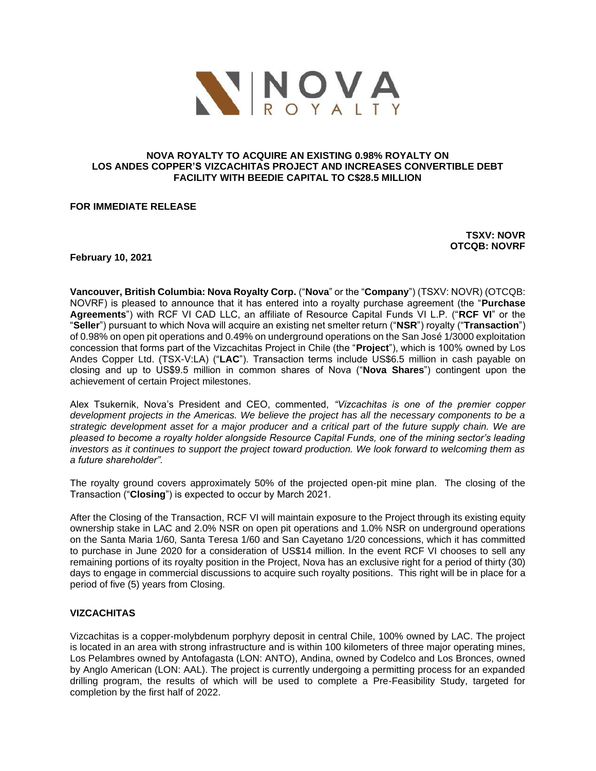

### **NOVA ROYALTY TO ACQUIRE AN EXISTING 0.98% ROYALTY ON LOS ANDES COPPER'S VIZCACHITAS PROJECT AND INCREASES CONVERTIBLE DEBT FACILITY WITH BEEDIE CAPITAL TO C\$28.5 MILLION**

**FOR IMMEDIATE RELEASE** 

**TSXV: NOVR OTCQB: NOVRF**

**February 10, 2021**

**Vancouver, British Columbia: Nova Royalty Corp.** ("**Nova**" or the "**Company**") (TSXV: NOVR) (OTCQB: NOVRF) is pleased to announce that it has entered into a royalty purchase agreement (the "**Purchase Agreements**") with RCF VI CAD LLC, an affiliate of Resource Capital Funds VI L.P. ("**RCF VI**" or the "**Seller**") pursuant to which Nova will acquire an existing net smelter return ("**NSR**") royalty ("**Transaction**") of 0.98% on open pit operations and 0.49% on underground operations on the San José 1/3000 exploitation concession that forms part of the Vizcachitas Project in Chile (the "**Project**"), which is 100% owned by Los Andes Copper Ltd. (TSX-V:LA) ("**LAC**"). Transaction terms include US\$6.5 million in cash payable on closing and up to US\$9.5 million in common shares of Nova ("**Nova Shares**") contingent upon the achievement of certain Project milestones.

Alex Tsukernik, Nova's President and CEO, commented, *"Vizcachitas is one of the premier copper development projects in the Americas. We believe the project has all the necessary components to be a strategic development asset for a major producer and a critical part of the future supply chain. We are pleased to become a royalty holder alongside Resource Capital Funds, one of the mining sector's leading investors as it continues to support the project toward production. We look forward to welcoming them as a future shareholder".*

The royalty ground covers approximately 50% of the projected open-pit mine plan. The closing of the Transaction ("**Closing**") is expected to occur by March 2021.

After the Closing of the Transaction, RCF VI will maintain exposure to the Project through its existing equity ownership stake in LAC and 2.0% NSR on open pit operations and 1.0% NSR on underground operations on the Santa Maria 1/60, Santa Teresa 1/60 and San Cayetano 1/20 concessions, which it has committed to purchase in June 2020 for a consideration of US\$14 million. In the event RCF VI chooses to sell any remaining portions of its royalty position in the Project, Nova has an exclusive right for a period of thirty (30) days to engage in commercial discussions to acquire such royalty positions. This right will be in place for a period of five (5) years from Closing.

### **VIZCACHITAS**

Vizcachitas is a copper-molybdenum porphyry deposit in central Chile, 100% owned by LAC. The project is located in an area with strong infrastructure and is within 100 kilometers of three major operating mines, Los Pelambres owned by Antofagasta (LON: ANTO), Andina, owned by Codelco and Los Bronces, owned by Anglo American (LON: AAL). The project is currently undergoing a permitting process for an expanded drilling program, the results of which will be used to complete a Pre-Feasibility Study, targeted for completion by the first half of 2022.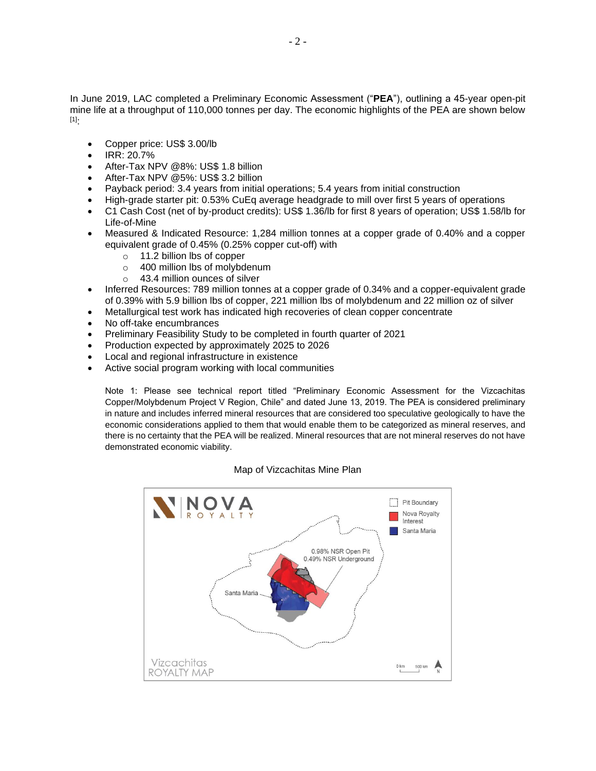In June 2019, LAC completed a Preliminary Economic Assessment ("**PEA**"), outlining a 45-year open-pit mine life at a throughput of 110,000 tonnes per day. The economic highlights of the PEA are shown below [1]:

- Copper price: US\$ 3.00/lb
- IRR: 20.7%
- After-Tax NPV @8%: US\$ 1.8 billion
- After-Tax NPV @5%: US\$ 3.2 billion
- Payback period: 3.4 years from initial operations; 5.4 years from initial construction
- High-grade starter pit: 0.53% CuEq average headgrade to mill over first 5 years of operations
- C1 Cash Cost (net of by-product credits): US\$ 1.36/lb for first 8 years of operation; US\$ 1.58/lb for Life-of-Mine
- Measured & Indicated Resource: 1,284 million tonnes at a copper grade of 0.40% and a copper equivalent grade of 0.45% (0.25% copper cut-off) with
	- o 11.2 billion lbs of copper
	- o 400 million lbs of molybdenum
	- o 43.4 million ounces of silver
- Inferred Resources: 789 million tonnes at a copper grade of 0.34% and a copper-equivalent grade of 0.39% with 5.9 billion lbs of copper, 221 million lbs of molybdenum and 22 million oz of silver
- Metallurgical test work has indicated high recoveries of clean copper concentrate
- No off-take encumbrances
- Preliminary Feasibility Study to be completed in fourth quarter of 2021
- Production expected by approximately 2025 to 2026
- Local and regional infrastructure in existence
- Active social program working with local communities

Note 1: Please see technical report titled "Preliminary Economic Assessment for the Vizcachitas Copper/Molybdenum Project V Region, Chile" and dated June 13, 2019. The PEA is considered preliminary in nature and includes inferred mineral resources that are considered too speculative geologically to have the economic considerations applied to them that would enable them to be categorized as mineral reserves, and there is no certainty that the PEA will be realized. Mineral resources that are not mineral reserves do not have demonstrated economic viability.

#### Map of Vizcachitas Mine Plan

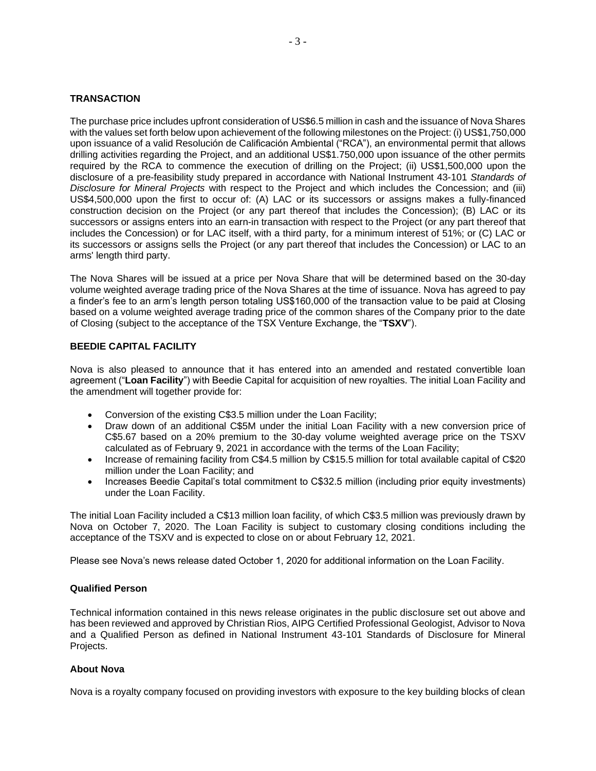### **TRANSACTION**

The purchase price includes upfront consideration of US\$6.5 million in cash and the issuance of Nova Shares with the values set forth below upon achievement of the following milestones on the Project: (i) US\$1,750,000 upon issuance of a valid Resolución de Calificación Ambiental ("RCA"), an environmental permit that allows drilling activities regarding the Project, and an additional US\$1.750,000 upon issuance of the other permits required by the RCA to commence the execution of drilling on the Project; (ii) US\$1,500,000 upon the disclosure of a pre-feasibility study prepared in accordance with National Instrument 43-101 *Standards of Disclosure for Mineral Projects* with respect to the Project and which includes the Concession; and (iii) US\$4,500,000 upon the first to occur of: (A) LAC or its successors or assigns makes a fully-financed construction decision on the Project (or any part thereof that includes the Concession); (B) LAC or its successors or assigns enters into an earn-in transaction with respect to the Project (or any part thereof that includes the Concession) or for LAC itself, with a third party, for a minimum interest of 51%; or (C) LAC or its successors or assigns sells the Project (or any part thereof that includes the Concession) or LAC to an arms' length third party.

The Nova Shares will be issued at a price per Nova Share that will be determined based on the 30-day volume weighted average trading price of the Nova Shares at the time of issuance. Nova has agreed to pay a finder's fee to an arm's length person totaling US\$160,000 of the transaction value to be paid at Closing based on a volume weighted average trading price of the common shares of the Company prior to the date of Closing (subject to the acceptance of the TSX Venture Exchange, the "**TSXV**").

# **BEEDIE CAPITAL FACILITY**

Nova is also pleased to announce that it has entered into an amended and restated convertible loan agreement ("**Loan Facility**") with Beedie Capital for acquisition of new royalties. The initial Loan Facility and the amendment will together provide for:

- Conversion of the existing C\$3.5 million under the Loan Facility;
- Draw down of an additional C\$5M under the initial Loan Facility with a new conversion price of C\$5.67 based on a 20% premium to the 30-day volume weighted average price on the TSXV calculated as of February 9, 2021 in accordance with the terms of the Loan Facility;
- Increase of remaining facility from C\$4.5 million by C\$15.5 million for total available capital of C\$20 million under the Loan Facility; and
- Increases Beedie Capital's total commitment to C\$32.5 million (including prior equity investments) under the Loan Facility.

The initial Loan Facility included a C\$13 million loan facility, of which C\$3.5 million was previously drawn by Nova on October 7, 2020. The Loan Facility is subject to customary closing conditions including the acceptance of the TSXV and is expected to close on or about February 12, 2021.

Please see Nova's news release dated October 1, 2020 for additional information on the Loan Facility.

### **Qualified Person**

Technical information contained in this news release originates in the public disclosure set out above and has been reviewed and approved by Christian Rios, AIPG Certified Professional Geologist, Advisor to Nova and a Qualified Person as defined in National Instrument 43-101 Standards of Disclosure for Mineral Projects.

# **About Nova**

Nova is a royalty company focused on providing investors with exposure to the key building blocks of clean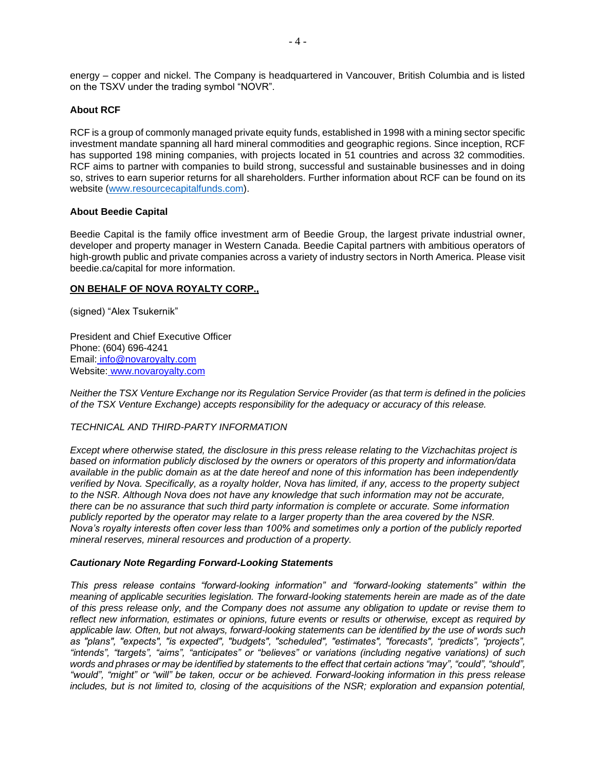energy – copper and nickel. The Company is headquartered in Vancouver, British Columbia and is listed on the TSXV under the trading symbol "NOVR".

# **About RCF**

RCF is a group of commonly managed private equity funds, established in 1998 with a mining sector specific investment mandate spanning all hard mineral commodities and geographic regions. Since inception, RCF has supported 198 mining companies, with projects located in 51 countries and across 32 commodities. RCF aims to partner with companies to build strong, successful and sustainable businesses and in doing so, strives to earn superior returns for all shareholders. Further information about RCF can be found on its website [\(www.resourcecapitalfunds.com\)](http://www.resourcecapitalfunds.com/).

# **About Beedie Capital**

Beedie Capital is the family office investment arm of Beedie Group, the largest private industrial owner, developer and property manager in Western Canada. Beedie Capital partners with ambitious operators of high-growth public and private companies across a variety of industry sectors in North America. Please visit beedie.ca/capital for more information.

# **ON BEHALF OF NOVA ROYALTY CORP.,**

(signed) "Alex Tsukernik"

President and Chief Executive Officer Phone: (604) 696-4241 Email: [info@novaroyalty.com](mailto:info@novaroyalty.com) Website: [www.novaroyalty.com](http://www.novaroyalty.com/)

*Neither the TSX Venture Exchange nor its Regulation Service Provider (as that term is defined in the policies of the TSX Venture Exchange) accepts responsibility for the adequacy or accuracy of this release.*

### *TECHNICAL AND THIRD-PARTY INFORMATION*

*Except where otherwise stated, the disclosure in this press release relating to the Vizchachitas project is based on information publicly disclosed by the owners or operators of this property and information/data available in the public domain as at the date hereof and none of this information has been independently verified by Nova. Specifically, as a royalty holder, Nova has limited, if any, access to the property subject to the NSR. Although Nova does not have any knowledge that such information may not be accurate, there can be no assurance that such third party information is complete or accurate. Some information publicly reported by the operator may relate to a larger property than the area covered by the NSR. Nova's royalty interests often cover less than 100% and sometimes only a portion of the publicly reported mineral reserves, mineral resources and production of a property.*

### *Cautionary Note Regarding Forward-Looking Statements*

*This press release contains "forward-looking information" and "forward-looking statements" within the meaning of applicable securities legislation. The forward-looking statements herein are made as of the date of this press release only, and the Company does not assume any obligation to update or revise them to reflect new information, estimates or opinions, future events or results or otherwise, except as required by applicable law. Often, but not always, forward-looking statements can be identified by the use of words such as "plans", "expects", "is expected", "budgets", "scheduled", "estimates", "forecasts", "predicts", "projects", "intends", "targets", "aims", "anticipates" or "believes" or variations (including negative variations) of such*  words and phrases or may be identified by statements to the effect that certain actions "may", "could", "should", *"would", "might" or "will" be taken, occur or be achieved. Forward-looking information in this press release includes, but is not limited to, closing of the acquisitions of the NSR; exploration and expansion potential,*